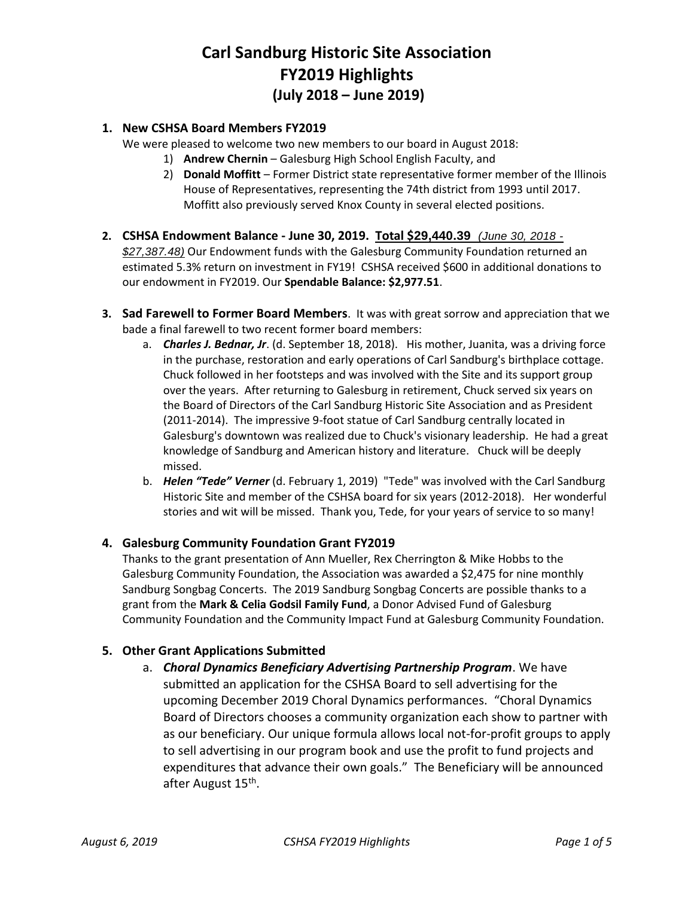# **Carl Sandburg Historic Site Association FY2019 Highlights (July 2018 – June 2019)**

# **1. New CSHSA Board Members FY2019**

We were pleased to welcome two new members to our board in August 2018:

- 1) **Andrew Chernin**  Galesburg High School English Faculty, and
- 2) **Donald Moffitt** Former District state representative former member of the Illinois House of Representatives, representing the 74th district from 1993 until 2017. Moffitt also previously served Knox County in several elected positions.
- **2. CSHSA Endowment Balance - June 30, 2019. Total \$29,440.39** *(June 30, 2018 - \$27,387.48)* Our Endowment funds with the Galesburg Community Foundation returned an estimated 5.3% return on investment in FY19! CSHSA received \$600 in additional donations to our endowment in FY2019. Our **Spendable Balance: \$2,977.51**.
- **3. Sad Farewell to Former Board Members**. It was with great sorrow and appreciation that we bade a final farewell to two recent former board members:
	- a. *Charles J. Bednar, Jr*. (d. September 18, 2018). His mother, Juanita, was a driving force in the purchase, restoration and early operations of Carl Sandburg's birthplace cottage. Chuck followed in her footsteps and was involved with the Site and its support group over the years. After returning to Galesburg in retirement, Chuck served six years on the Board of Directors of the Carl Sandburg Historic Site Association and as President (2011-2014). The impressive 9-foot statue of Carl Sandburg centrally located in Galesburg's downtown was realized due to Chuck's visionary leadership. He had a great knowledge of Sandburg and American history and literature. Chuck will be deeply missed.
	- b. *Helen "Tede" Verner* (d. February 1, 2019) "Tede" was involved with the Carl Sandburg Historic Site and member of the CSHSA board for six years (2012-2018). Her wonderful stories and wit will be missed. Thank you, Tede, for your years of service to so many!

# **4. Galesburg Community Foundation Grant FY2019**

Thanks to the grant presentation of Ann Mueller, Rex Cherrington & Mike Hobbs to the Galesburg Community Foundation, the Association was awarded a \$2,475 for nine monthly Sandburg Songbag Concerts. The 2019 Sandburg Songbag Concerts are possible thanks to a grant from the **Mark & Celia Godsil Family Fund**, a Donor Advised Fund of Galesburg Community Foundation and the Community Impact Fund at Galesburg Community Foundation.

# **5. Other Grant Applications Submitted**

a. *Choral Dynamics Beneficiary Advertising Partnership Program*. We have submitted an application for the CSHSA Board to sell advertising for the upcoming December 2019 Choral Dynamics performances. "Choral Dynamics Board of Directors chooses a community organization each show to partner with as our beneficiary. Our unique formula allows local not-for-profit groups to apply to sell advertising in our program book and use the profit to fund projects and expenditures that advance their own goals." The Beneficiary will be announced after August 15<sup>th</sup>.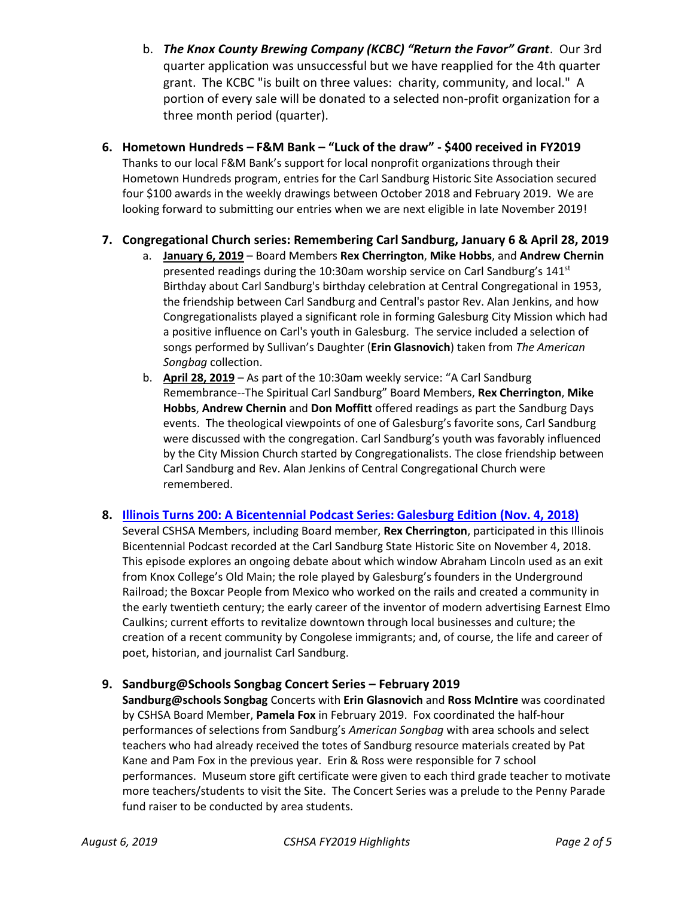- b. *The Knox County Brewing Company (KCBC) "Return the Favor" Grant*. Our 3rd quarter application was unsuccessful but we have reapplied for the 4th quarter grant. The KCBC "is built on three values: charity, community, and local." A portion of every sale will be donated to a selected non-profit organization for a three month period (quarter).
- **6. Hometown Hundreds – F&M Bank – "Luck of the draw" - \$400 received in FY2019** Thanks to our local F&M Bank's support for local nonprofit organizations through their Hometown Hundreds program, entries for the Carl Sandburg Historic Site Association secured four \$100 awards in the weekly drawings between October 2018 and February 2019. We are looking forward to submitting our entries when we are next eligible in late November 2019!

# **7. Congregational Church series: Remembering Carl Sandburg, January 6 & April 28, 2019**

- a. **January 6, 2019** Board Members **Rex Cherrington**, **Mike Hobbs**, and **Andrew Chernin** presented readings during the 10:30am worship service on Carl Sandburg's 141st Birthday about Carl Sandburg's birthday celebration at Central Congregational in 1953, the friendship between Carl Sandburg and Central's pastor Rev. Alan Jenkins, and how Congregationalists played a significant role in forming Galesburg City Mission which had a positive influence on Carl's youth in Galesburg. The service included a selection of songs performed by Sullivan's Daughter (**Erin Glasnovich**) taken from *The American Songbag* collection.
- b. **April 28, 2019** As part of the 10:30am weekly service: "A Carl Sandburg Remembrance--The Spiritual Carl Sandburg" Board Members, **Rex Cherrington**, **Mike Hobbs**, **Andrew Chernin** and **Don Moffitt** offered readings as part the Sandburg Days events. The theological viewpoints of one of Galesburg's favorite sons, Carl Sandburg were discussed with the congregation. Carl Sandburg's youth was favorably influenced by the City Mission Church started by Congregationalists. The close friendship between Carl Sandburg and Rev. Alan Jenkins of Central Congregational Church were remembered.

## **8. [Illinois Turns 200: A Bicentennial Podcast Series: Galesburg Edition \(Nov. 4, 2018\)](https://www.ilhumanities.org/program/illinois-bicentennial/)**

Several CSHSA Members, including Board member, **Rex Cherrington**, participated in this Illinois Bicentennial Podcast recorded at the Carl Sandburg State Historic Site on November 4, 2018. This episode explores an ongoing debate about which window Abraham Lincoln used as an exit from Knox College's Old Main; the role played by Galesburg's founders in the Underground Railroad; the Boxcar People from Mexico who worked on the rails and created a community in the early twentieth century; the early career of the inventor of modern advertising Earnest Elmo Caulkins; current efforts to revitalize downtown through local businesses and culture; the creation of a recent community by Congolese immigrants; and, of course, the life and career of poet, historian, and journalist Carl Sandburg.

## **9. Sandburg@Schools Songbag Concert Series – February 2019**

**Sandburg@schools Songbag** Concerts with **Erin Glasnovich** and **Ross McIntire** was coordinated by CSHSA Board Member, **Pamela Fox** in February 2019. Fox coordinated the half-hour performances of selections from Sandburg's *American Songbag* with area schools and select teachers who had already received the totes of Sandburg resource materials created by Pat Kane and Pam Fox in the previous year. Erin & Ross were responsible for 7 school performances. Museum store gift certificate were given to each third grade teacher to motivate more teachers/students to visit the Site. The Concert Series was a prelude to the Penny Parade fund raiser to be conducted by area students.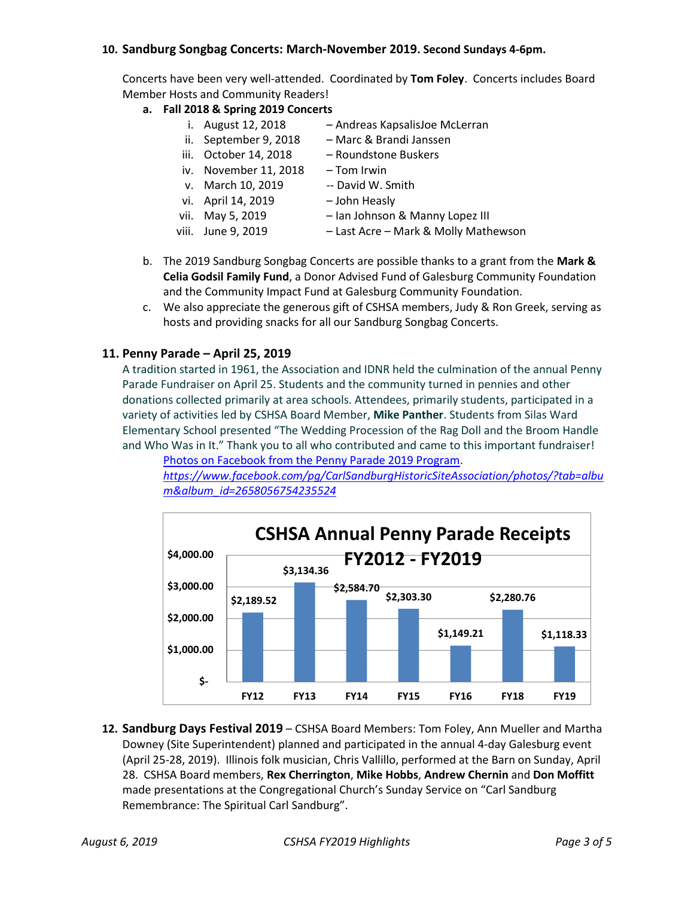#### **10. Sandburg Songbag Concerts: March-November 2019. Second Sundays 4-6pm.**

Concerts have been very well-attended. Coordinated by **Tom Foley**. Concerts includes Board Member Hosts and Community Readers!

#### **a. Fall 2018 & Spring 2019 Concerts**

- i. August 12, 2018 Andreas KapsalisJoe McLerran
- ii. September 9, 2018 Marc & Brandi Janssen
- iii. October 14, 2018 Roundstone Buskers
- iv. November 11, 2018 Tom Irwin
- v. March 10, 2019 -- David W. Smith
- vi. April 14, 2019 John Heasly
	-
- 
- vii. May 5, 2019 Ian Johnson & Manny Lopez III
- viii. June 9, 2019 Last Acre Mark & Molly Mathewson
- b. The 2019 Sandburg Songbag Concerts are possible thanks to a grant from the **Mark & Celia Godsil Family Fund**, a Donor Advised Fund of Galesburg Community Foundation and the Community Impact Fund at Galesburg Community Foundation.
- c. We also appreciate the generous gift of CSHSA members, Judy & Ron Greek, serving as hosts and providing snacks for all our Sandburg Songbag Concerts.

#### **11. Penny Parade – April 25, 2019**

A tradition started in 1961, the Association and IDNR held the culmination of the annual Penny Parade Fundraiser on April 25. Students and the community turned in pennies and other donations collected primarily at area schools. Attendees, primarily students, participated in a variety of activities led by CSHSA Board Member, **Mike Panther**. Students from Silas Ward Elementary School presented "The Wedding Procession of the Rag Doll and the Broom Handle and Who Was in It." Thank you to all who contributed and came to this important fundraiser!

[Photos on Facebook from the Penny Parade 2019 Program.](https://www.facebook.com/pg/CarlSandburgHistoricSiteAssociation/photos/?tab=album&album_id=2658056754235524)

*[https://www.facebook.com/pg/CarlSandburgHistoricSiteAssociation/photos/?tab=albu](https://www.facebook.com/pg/CarlSandburgHistoricSiteAssociation/photos/?tab=album&album_id=2658056754235524) [m&album\\_id=2658056754235524](https://www.facebook.com/pg/CarlSandburgHistoricSiteAssociation/photos/?tab=album&album_id=2658056754235524)*



**12. Sandburg Days Festival 2019** – CSHSA Board Members: Tom Foley, Ann Mueller and Martha Downey (Site Superintendent) planned and participated in the annual 4-day Galesburg event (April 25-28, 2019). Illinois folk musician, Chris Vallillo, performed at the Barn on Sunday, April 28. CSHSA Board members, **Rex Cherrington**, **Mike Hobbs**, **Andrew Chernin** and **Don Moffitt** made presentations at the Congregational Church's Sunday Service on "Carl Sandburg Remembrance: The Spiritual Carl Sandburg".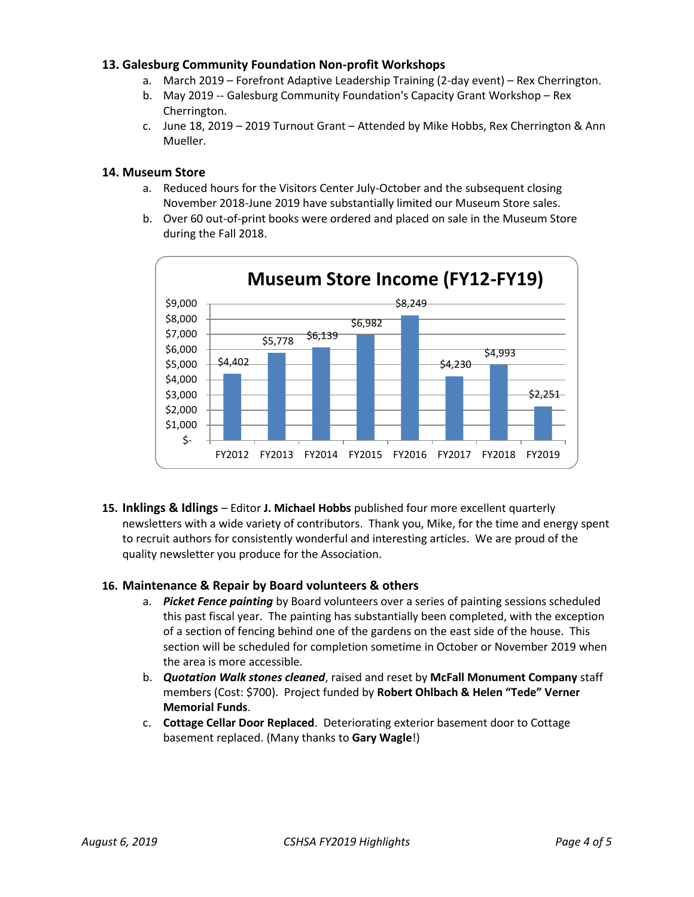#### **13. Galesburg Community Foundation Non-profit Workshops**

- a. March 2019 Forefront Adaptive Leadership Training (2-day event) Rex Cherrington.
- b. May 2019 -- Galesburg Community Foundation's Capacity Grant Workshop Rex Cherrington.
- c. June 18, 2019 2019 Turnout Grant Attended by Mike Hobbs, Rex Cherrington & Ann Mueller.

#### **14. Museum Store**

- a. Reduced hours for the Visitors Center July-October and the subsequent closing November 2018-June 2019 have substantially limited our Museum Store sales.
- b. Over 60 out-of-print books were ordered and placed on sale in the Museum Store during the Fall 2018.



**15. Inklings & Idlings** – Editor **J. Michael Hobbs** published four more excellent quarterly newsletters with a wide variety of contributors. Thank you, Mike, for the time and energy spent to recruit authors for consistently wonderful and interesting articles. We are proud of the quality newsletter you produce for the Association.

#### **16. Maintenance & Repair by Board volunteers & others**

- a. *Picket Fence painting* by Board volunteers over a series of painting sessions scheduled this past fiscal year. The painting has substantially been completed, with the exception of a section of fencing behind one of the gardens on the east side of the house. This section will be scheduled for completion sometime in October or November 2019 when the area is more accessible.
- b. *Quotation Walk stones cleaned*, raised and reset by **McFall Monument Company** staff members (Cost: \$700). Project funded by **Robert Ohlbach & Helen "Tede" Verner Memorial Funds**.
- c. **Cottage Cellar Door Replaced**. Deteriorating exterior basement door to Cottage basement replaced. (Many thanks to **Gary Wagle**!)